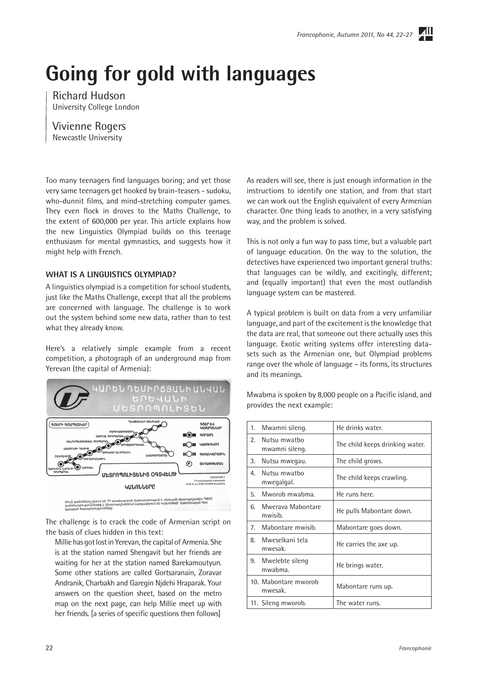$\overline{A}$ ll

# **Going for gold with languages**

Richard Hudson University College London

Vivienne Rogers Newcastle University

Too many teenagers find languages boring; and yet those very same teenagers get hooked by brain-teasers - sudoku, who-dunnit films, and mind-stretching computer games. They even flock in droves to the Maths Challenge, to the extent of 600,000 per year. This article explains how the new Linguistics Olympiad builds on this teenage enthusiasm for mental gymnastics, and suggests how it might help with French.

## **WHAT IS A LINGUISTICS OLYMPIAD?**

A linguistics olympiad is a competition for school students, just like the Maths Challenge, except that all the problems are concerned with language. The challenge is to work out the system behind some new data, rather than to test what they already know.

Here's a relatively simple example from a recent competition, a photograph of an underground map from Yerevan (the capital of Armenia):



Սույն կանոնները բխում են 77 տրանսպորտի նախարարության և «Երևանի մետրոպոլիտեն» ՊՓԲԸ<br>կանոնադրություններից և մետրոպոլիտենում կարգավորում են ուղևորների՝ երթևեկության իետ<br>կապված hարաբերությունները։

The challenge is to crack the code of Armenian script on the basis of clues hidden in this text:

Millie has got lost in Yerevan, the capital of Armenia. She is at the station named Shengavit but her friends are waiting for her at the station named Barekamoutyun. Some other stations are called Gortsaranain, Zoravar Andranik, Charbakh and Garegin Njdehi Hraparak. Your answers on the question sheet, based on the metro map on the next page, can help Millie meet up with her friends. [a series of specific questions then follows]

As readers will see, there is just enough information in the instructions to identify one station, and from that start we can work out the English equivalent of every Armenian character. One thing leads to another, in a very satisfying way, and the problem is solved.

This is not only a fun way to pass time, but a valuable part of language education. On the way to the solution, the detectives have experienced two important general truths: that languages can be wildly, and excitingly, different; and (equally important) that even the most outlandish language system can be mastered.

A typical problem is built on data from a very unfamiliar language, and part of the excitement is the knowledge that the data are real, that someone out there actually uses this language. Exotic writing systems offer interesting datasets such as the Armenian one, but Olympiad problems range over the whole of language – its forms, its structures and its meanings.

Mwabma is spoken by 8,000 people on a Pacific island, and provides the next example:

| 1.             | Mwamni sileng.                  | He drinks water.                |
|----------------|---------------------------------|---------------------------------|
| 2 <sub>1</sub> | Nutsu mwatbo<br>mwamni sileng.  | The child keeps drinking water. |
| 3.             | Nutsu mwegau.                   | The child grows.                |
| 4 <sup>1</sup> | Nutsu mwatbo<br>mwegalgal.      | The child keeps crawling.       |
| $5 -$          | Mworob mwabma.                  | He runs here.                   |
| 6.             | Mweraya Mabontare<br>mwisib.    | He pulls Mabontare down.        |
|                | 7. Mabontare mwisib.            | Mabontare goes down.            |
| 8.             | Mweselkani tela<br>mwesak.      | He carries the axe up.          |
|                | 9. Mwelebte sileng<br>mwabma.   | He brings water.                |
|                | 10. Mabontare mworob<br>mwesak. | Mabontare runs up.              |
|                | 11. Sileng mworob.              | The water runs.                 |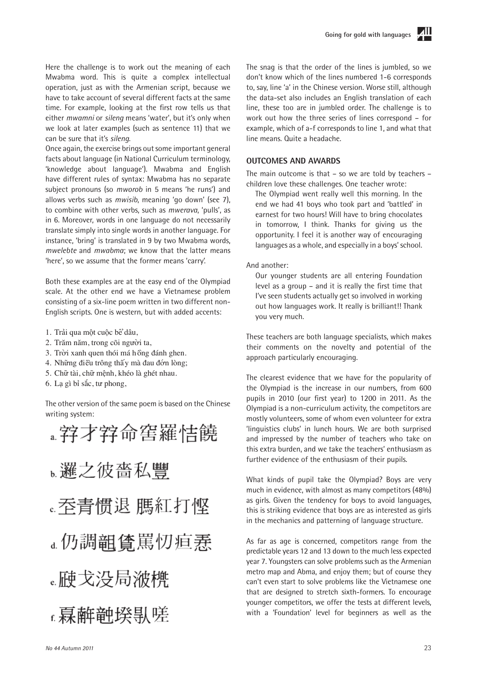Here the challenge is to work out the meaning of each Mwabma word. This is quite a complex intellectual operation, just as with the Armenian script, because we have to take account of several different facts at the same time. For example, looking at the first row tells us that either *mwamni* or *sileng* means 'water', but it's only when we look at later examples (such as sentence 11) that we can be sure that it's *sileng*.

Once again, the exercise brings out some important general facts about language (in National Curriculum terminology, 'knowledge about language'). Mwabma and English have different rules of syntax: Mwabma has no separate subject pronouns (so *mworob* in 5 means 'he runs') and allows verbs such as *mwisib*, meaning 'go down' (see 7), to combine with other verbs, such as *mwerava*, 'pulls', as in 6. Moreover, words in one language do not necessarily translate simply into single words in another language. For instance, 'bring' is translated in 9 by two Mwabma words, *mwelebte* and *mwabma*; we know that the latter means 'here', so we assume that the former means 'carry'.

Both these examples are at the easy end of the Olympiad scale. At the other end we have a Vietnamese problem consisting of a six-line poem written in two different non-English scripts. One is western, but with added accents:

- 1. Trải qua một cuộc bể dâu,
- 2. Trăm năm, trong cõi người ta,
- 3. Trời xanh quen thói má hồng đánh ghen.
- 4. Những điều trông thấy mà đau đớn lòng;
- 5. Chữ tài, chữ mệnh, khéo là ghét nhau.
- 6. Lạ gì bỉ sắc, tư phong,

The other version of the same poem is based on the Chinese writing system:

。邏之彼嗇私讐 。吞青惯退 嗎紅打悭 **。仍調**韻值罵忉疸焘 。腋戈没局浟橷 f. **慕**離軸揆倝嗟

The snag is that the order of the lines is jumbled, so we don't know which of the lines numbered 1-6 corresponds to, say, line 'a' in the Chinese version. Worse still, although the data-set also includes an English translation of each line, these too are in jumbled order. The challenge is to work out how the three series of lines correspond – for example, which of a-f corresponds to line 1, and what that line means. Quite a headache.

#### **OUTCOMES AND AWARDS**

The main outcome is that – so we are told by teachers – children love these challenges. One teacher wrote:

The Olympiad went really well this morning. In the end we had 41 boys who took part and 'battled' in earnest for two hours! Will have to bring chocolates in tomorrow, I think. Thanks for giving us the opportunity. I feel it is another way of encouraging languages as a whole, and especially in a boys' school.

And another:

Our younger students are all entering Foundation level as a group – and it is really the first time that I've seen students actually get so involved in working out how languages work. It really is brilliant!! Thank you very much.

These teachers are both language specialists, which makes their comments on the novelty and potential of the approach particularly encouraging.

The clearest evidence that we have for the popularity of the Olympiad is the increase in our numbers, from 600 pupils in 2010 (our first year) to 1200 in 2011. As the Olympiad is a non-curriculum activity, the competitors are mostly volunteers, some of whom even volunteer for extra 'linguistics clubs' in lunch hours. We are both surprised and impressed by the number of teachers who take on this extra burden, and we take the teachers' enthusiasm as further evidence of the enthusiasm of their pupils.

What kinds of pupil take the Olympiad? Boys are very much in evidence, with almost as many competitors (48%) as girls. Given the tendency for boys to avoid languages, this is striking evidence that boys are as interested as girls in the mechanics and patterning of language structure.

As far as age is concerned, competitors range from the predictable years 12 and 13 down to the much less expected year 7. Youngsters can solve problems such as the Armenian metro map and Abma, and enjoy them; but of course they can't even start to solve problems like the Vietnamese one that are designed to stretch sixth-formers. To encourage younger competitors, we offer the tests at different levels, with a 'Foundation' level for beginners as well as the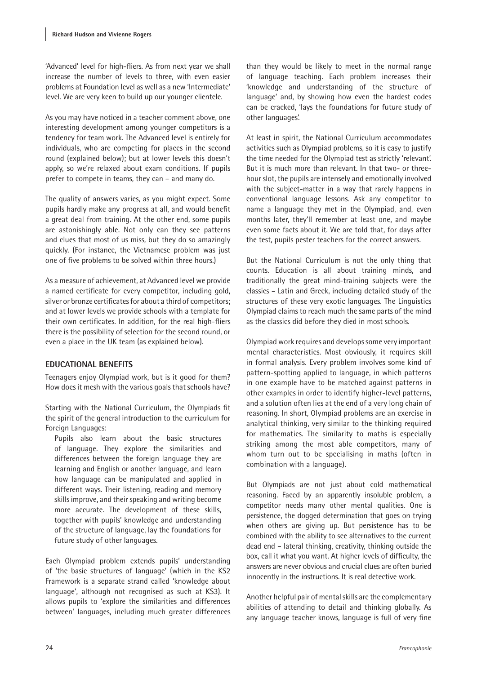'Advanced' level for high-fliers. As from next year we shall increase the number of levels to three, with even easier problems at Foundation level as well as a new 'Intermediate' level. We are very keen to build up our younger clientele.

As you may have noticed in a teacher comment above, one interesting development among younger competitors is a tendency for team work. The Advanced level is entirely for individuals, who are competing for places in the second round (explained below); but at lower levels this doesn't apply, so we're relaxed about exam conditions. If pupils prefer to compete in teams, they can – and many do.

The quality of answers varies, as you might expect. Some pupils hardly make any progress at all, and would benefit a great deal from training. At the other end, some pupils are astonishingly able. Not only can they see patterns and clues that most of us miss, but they do so amazingly quickly. (For instance, the Vietnamese problem was just one of five problems to be solved within three hours.)

As a measure of achievement, at Advanced level we provide a named certificate for every competitor, including gold, silver or bronze certificates for about a third of competitors; and at lower levels we provide schools with a template for their own certificates. In addition, for the real high-fliers there is the possibility of selection for the second round, or even a place in the UK team (as explained below).

## **EDUCATIONAL BENEFITS**

Teenagers enjoy Olympiad work, but is it good for them? How does it mesh with the various goals that schools have?

Starting with the National Curriculum, the Olympiads fit the spirit of the general introduction to the curriculum for Foreign Languages:

Pupils also learn about the basic structures of language. They explore the similarities and differences between the foreign language they are learning and English or another language, and learn how language can be manipulated and applied in different ways. Their listening, reading and memory skills improve, and their speaking and writing become more accurate. The development of these skills, together with pupils' knowledge and understanding of the structure of language, lay the foundations for future study of other languages.

Each Olympiad problem extends pupils' understanding of 'the basic structures of language' (which in the KS2 Framework is a separate strand called 'knowledge about language', although not recognised as such at KS3). It allows pupils to 'explore the similarities and differences between' languages, including much greater differences than they would be likely to meet in the normal range of language teaching. Each problem increases their 'knowledge and understanding of the structure of language' and, by showing how even the hardest codes can be cracked, 'lays the foundations for future study of other languages'.

At least in spirit, the National Curriculum accommodates activities such as Olympiad problems, so it is easy to justify the time needed for the Olympiad test as strictly 'relevant'. But it is much more than relevant. In that two- or threehour slot, the pupils are intensely and emotionally involved with the subject-matter in a way that rarely happens in conventional language lessons. Ask any competitor to name a language they met in the Olympiad, and, even months later, they'll remember at least one, and maybe even some facts about it. We are told that, for days after the test, pupils pester teachers for the correct answers.

But the National Curriculum is not the only thing that counts. Education is all about training minds, and traditionally the great mind-training subjects were the classics – Latin and Greek, including detailed study of the structures of these very exotic languages. The Linguistics Olympiad claims to reach much the same parts of the mind as the classics did before they died in most schools.

Olympiad work requires and develops some very important mental characteristics. Most obviously, it requires skill in formal analysis. Every problem involves some kind of pattern-spotting applied to language, in which patterns in one example have to be matched against patterns in other examples in order to identify higher-level patterns, and a solution often lies at the end of a very long chain of reasoning. In short, Olympiad problems are an exercise in analytical thinking, very similar to the thinking required for mathematics. The similarity to maths is especially striking among the most able competitors, many of whom turn out to be specialising in maths (often in combination with a language).

But Olympiads are not just about cold mathematical reasoning. Faced by an apparently insoluble problem, a competitor needs many other mental qualities. One is persistence, the dogged determination that goes on trying when others are giving up. But persistence has to be combined with the ability to see alternatives to the current dead end – lateral thinking, creativity, thinking outside the box, call it what you want. At higher levels of difficulty, the answers are never obvious and crucial clues are often buried innocently in the instructions. It is real detective work.

Another helpful pair of mental skills are the complementary abilities of attending to detail and thinking globally. As any language teacher knows, language is full of very fine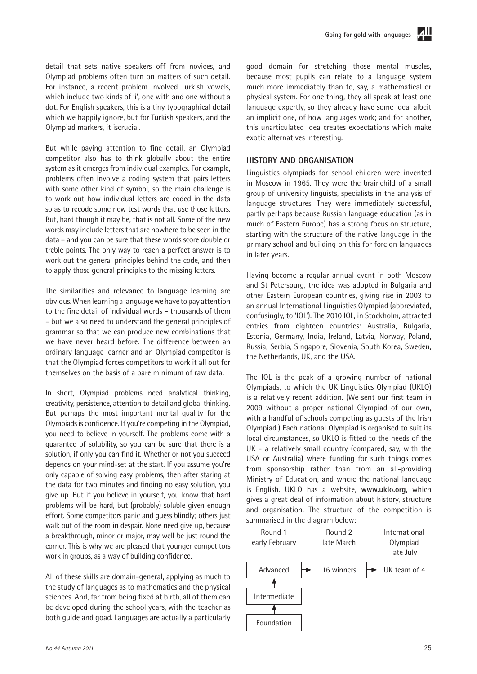

detail that sets native speakers off from novices, and Olympiad problems often turn on matters of such detail. For instance, a recent problem involved Turkish vowels, which include two kinds of 'i', one with and one without a dot. For English speakers, this is a tiny typographical detail which we happily ignore, but for Turkish speakers, and the Olympiad markers, it iscrucial.

But while paying attention to fine detail, an Olympiad competitor also has to think globally about the entire system as it emerges from individual examples. For example, problems often involve a coding system that pairs letters with some other kind of symbol, so the main challenge is to work out how individual letters are coded in the data so as to recode some new test words that use those letters. But, hard though it may be, that is not all. Some of the new words may include letters that are nowhere to be seen in the data – and you can be sure that these words score double or treble points. The only way to reach a perfect answer is to work out the general principles behind the code, and then to apply those general principles to the missing letters.

The similarities and relevance to language learning are obvious. When learning a language we have to pay attention to the fine detail of individual words – thousands of them – but we also need to understand the general principles of grammar so that we can produce new combinations that we have never heard before. The difference between an ordinary language learner and an Olympiad competitor is that the Olympiad forces competitors to work it all out for themselves on the basis of a bare minimum of raw data.

In short, Olympiad problems need analytical thinking, creativity, persistence, attention to detail and global thinking. But perhaps the most important mental quality for the Olympiads is confidence. If you're competing in the Olympiad, you need to believe in yourself. The problems come with a guarantee of solubility, so you can be sure that there is a solution, if only you can find it. Whether or not you succeed depends on your mind-set at the start. If you assume you're only capable of solving easy problems, then after staring at the data for two minutes and finding no easy solution, you give up. But if you believe in yourself, you know that hard problems will be hard, but (probably) soluble given enough effort. Some competitors panic and guess blindly; others just walk out of the room in despair. None need give up, because a breakthrough, minor or major, may well be just round the corner. This is why we are pleased that younger competitors work in groups, as a way of building confidence.

All of these skills are domain-general, applying as much to the study of languages as to mathematics and the physical sciences. And, far from being fixed at birth, all of them can be developed during the school years, with the teacher as both guide and goad. Languages are actually a particularly good domain for stretching those mental muscles, because most pupils can relate to a language system much more immediately than to, say, a mathematical or physical system. For one thing, they all speak at least one language expertly, so they already have some idea, albeit an implicit one, of how languages work; and for another, this unarticulated idea creates expectations which make exotic alternatives interesting.

### **HISTORY AND ORGANISATION**

Linguistics olympiads for school children were invented in Moscow in 1965. They were the brainchild of a small group of university linguists, specialists in the analysis of language structures. They were immediately successful, partly perhaps because Russian language education (as in much of Eastern Europe) has a strong focus on structure, starting with the structure of the native language in the primary school and building on this for foreign languages in later years.

Having become a regular annual event in both Moscow and St Petersburg, the idea was adopted in Bulgaria and other Eastern European countries, giving rise in 2003 to an annual International Linguistics Olympiad (abbreviated, confusingly, to 'IOL'). The 2010 IOL, in Stockholm, attracted entries from eighteen countries: Australia, Bulgaria, Estonia, Germany, India, Ireland, Latvia, Norway, Poland, Russia, Serbia, Singapore, Slovenia, South Korea, Sweden, the Netherlands, UK, and the USA.

The IOL is the peak of a growing number of national Olympiads, to which the UK Linguistics Olympiad (UKLO) is a relatively recent addition. (We sent our first team in 2009 without a proper national Olympiad of our own, with a handful of schools competing as guests of the Irish Olympiad.) Each national Olympiad is organised to suit its local circumstances, so UKLO is fitted to the needs of the UK - a relatively small country (compared, say, with the USA or Australia) where funding for such things comes from sponsorship rather than from an all-providing Ministry of Education, and where the national language is English. UKLO has a website, **www.uklo.org**, which gives a great deal of information about history, structure and organisation. The structure of the competition is summarised in the diagram below:

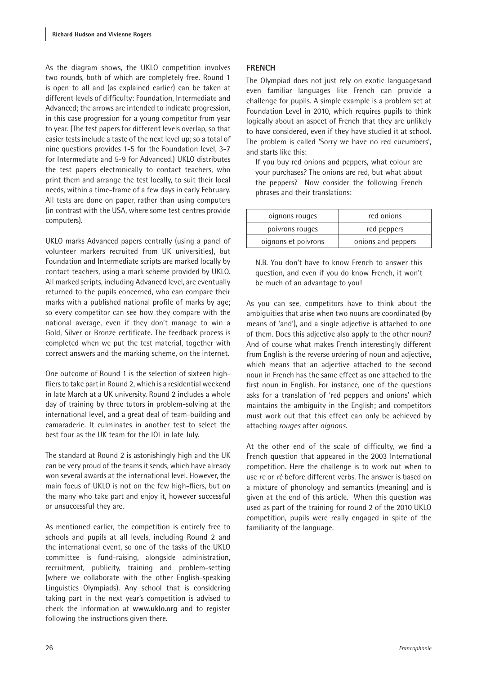As the diagram shows, the UKLO competition involves two rounds, both of which are completely free. Round 1 is open to all and (as explained earlier) can be taken at different levels of difficulty: Foundation, Intermediate and Advanced; the arrows are intended to indicate progression, in this case progression for a young competitor from year to year. (The test papers for different levels overlap, so that easier tests include a taste of the next level up; so a total of nine questions provides 1-5 for the Foundation level, 3-7 for Intermediate and 5-9 for Advanced.) UKLO distributes the test papers electronically to contact teachers, who print them and arrange the test locally, to suit their local needs, within a time-frame of a few days in early February. All tests are done on paper, rather than using computers (in contrast with the USA, where some test centres provide computers).

UKLO marks Advanced papers centrally (using a panel of volunteer markers recruited from UK universities), but Foundation and Intermediate scripts are marked locally by contact teachers, using a mark scheme provided by UKLO. All marked scripts, including Advanced level, are eventually returned to the pupils concerned, who can compare their marks with a published national profile of marks by age; so every competitor can see how they compare with the national average, even if they don't manage to win a Gold, Silver or Bronze certificate. The feedback process is completed when we put the test material, together with correct answers and the marking scheme, on the internet.

One outcome of Round 1 is the selection of sixteen highfliers to take part in Round 2, which is a residential weekend in late March at a UK university. Round 2 includes a whole day of training by three tutors in problem-solving at the international level, and a great deal of team-building and camaraderie. It culminates in another test to select the best four as the UK team for the IOL in late July.

The standard at Round 2 is astonishingly high and the UK can be very proud of the teams it sends, which have already won several awards at the international level. However, the main focus of UKLO is not on the few high-fliers, but on the many who take part and enjoy it, however successful or unsuccessful they are.

As mentioned earlier, the competition is entirely free to schools and pupils at all levels, including Round 2 and the international event, so one of the tasks of the UKLO committee is fund-raising, alongside administration, recruitment, publicity, training and problem-setting (where we collaborate with the other English-speaking Linguistics Olympiads). Any school that is considering taking part in the next year's competition is advised to check the information at **www.uklo.org** and to register following the instructions given there.

## **FRENCH**

The Olympiad does not just rely on exotic languagesand even familiar languages like French can provide a challenge for pupils. A simple example is a problem set at Foundation Level in 2010, which requires pupils to think logically about an aspect of French that they are unlikely to have considered, even if they have studied it at school. The problem is called 'Sorry we have no red cucumbers', and starts like this:

If you buy red onions and peppers, what colour are your purchases? The onions are red, but what about the peppers? Now consider the following French phrases and their translations:

| oignons rouges      | red onions         |  |
|---------------------|--------------------|--|
| poivrons rouges     | red peppers        |  |
| oignons et poivrons | onions and peppers |  |

N.B. You don't have to know French to answer this question, and even if you do know French, it won't be much of an advantage to you!

As you can see, competitors have to think about the ambiguities that arise when two nouns are coordinated (by means of 'and'), and a single adjective is attached to one of them. Does this adjective also apply to the other noun? And of course what makes French interestingly different from English is the reverse ordering of noun and adjective, which means that an adjective attached to the second noun in French has the same effect as one attached to the first noun in English. For instance, one of the questions asks for a translation of 'red peppers and onions' which maintains the ambiguity in the English; and competitors must work out that this effect can only be achieved by attaching *rouges* after *oignons*.

At the other end of the scale of difficulty, we find a French question that appeared in the 2003 International competition. Here the challenge is to work out when to use *re* or *ré* before different verbs. The answer is based on a mixture of phonology and semantics (meaning) and is given at the end of this article. When this question was used as part of the training for round 2 of the 2010 UKLO competition, pupils were really engaged in spite of the familiarity of the language.